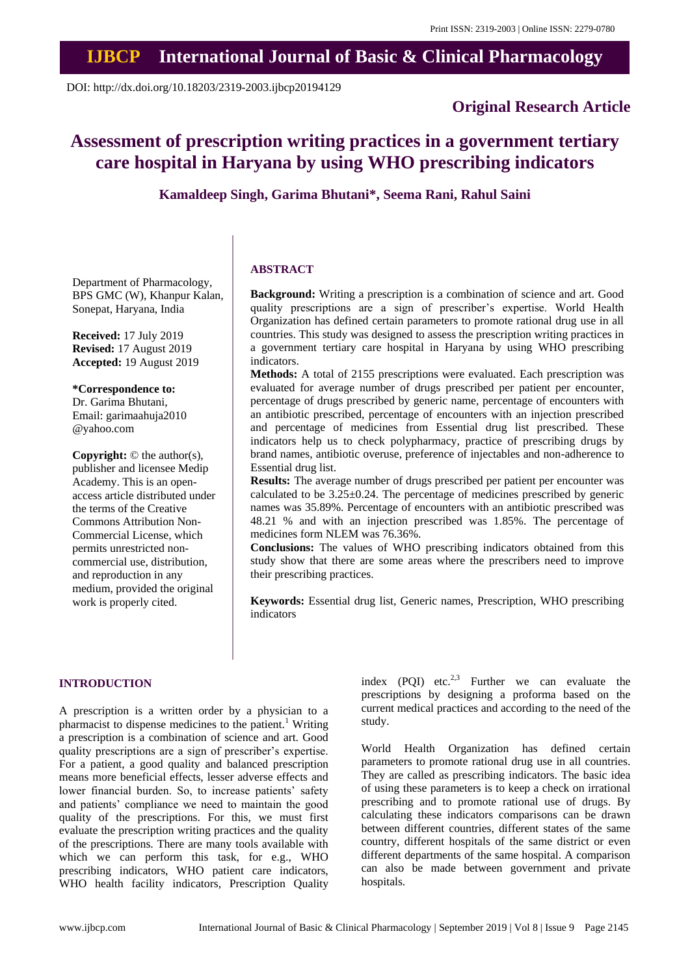## **IJBCP International Journal of Basic & Clinical Pharmacology**

DOI: http://dx.doi.org/10.18203/2319-2003.ijbcp20194129

### **Original Research Article**

# **Assessment of prescription writing practices in a government tertiary care hospital in Haryana by using WHO prescribing indicators**

**Kamaldeep Singh, Garima Bhutani\*, Seema Rani, Rahul Saini**

Department of Pharmacology, BPS GMC (W), Khanpur Kalan, Sonepat, Haryana, India

**Received:** 17 July 2019 **Revised:** 17 August 2019 **Accepted:** 19 August 2019

**\*Correspondence to:** Dr. Garima Bhutani, Email: garimaahuja2010 @yahoo.com

**Copyright:** © the author(s), publisher and licensee Medip Academy. This is an openaccess article distributed under the terms of the Creative Commons Attribution Non-Commercial License, which permits unrestricted noncommercial use, distribution, and reproduction in any medium, provided the original work is properly cited.

#### **ABSTRACT**

**Background:** Writing a prescription is a combination of science and art. Good quality prescriptions are a sign of prescriber's expertise. World Health Organization has defined certain parameters to promote rational drug use in all countries. This study was designed to assess the prescription writing practices in a government tertiary care hospital in Haryana by using WHO prescribing indicators.

**Methods:** A total of 2155 prescriptions were evaluated. Each prescription was evaluated for average number of drugs prescribed per patient per encounter, percentage of drugs prescribed by generic name, percentage of encounters with an antibiotic prescribed, percentage of encounters with an injection prescribed and percentage of medicines from Essential drug list prescribed. These indicators help us to check polypharmacy, practice of prescribing drugs by brand names, antibiotic overuse, preference of injectables and non-adherence to Essential drug list.

**Results:** The average number of drugs prescribed per patient per encounter was calculated to be  $3.25 \pm 0.24$ . The percentage of medicines prescribed by generic names was 35.89%. Percentage of encounters with an antibiotic prescribed was 48.21 % and with an injection prescribed was 1.85%. The percentage of medicines form NLEM was 76.36%.

**Conclusions:** The values of WHO prescribing indicators obtained from this study show that there are some areas where the prescribers need to improve their prescribing practices.

**Keywords:** Essential drug list, Generic names, Prescription, WHO prescribing indicators

#### **INTRODUCTION**

A prescription is a written order by a physician to a pharmacist to dispense medicines to the patient.<sup>1</sup> Writing a prescription is a combination of science and art. Good quality prescriptions are a sign of prescriber's expertise. For a patient, a good quality and balanced prescription means more beneficial effects, lesser adverse effects and lower financial burden. So, to increase patients' safety and patients' compliance we need to maintain the good quality of the prescriptions. For this, we must first evaluate the prescription writing practices and the quality of the prescriptions. There are many tools available with which we can perform this task, for e.g., WHO prescribing indicators, WHO patient care indicators, WHO health facility indicators, Prescription Quality index (PQI) etc.<sup>2,3</sup> Further we can evaluate the prescriptions by designing a proforma based on the current medical practices and according to the need of the study.

World Health Organization has defined certain parameters to promote rational drug use in all countries. They are called as prescribing indicators. The basic idea of using these parameters is to keep a check on irrational prescribing and to promote rational use of drugs. By calculating these indicators comparisons can be drawn between different countries, different states of the same country, different hospitals of the same district or even different departments of the same hospital. A comparison can also be made between government and private hospitals.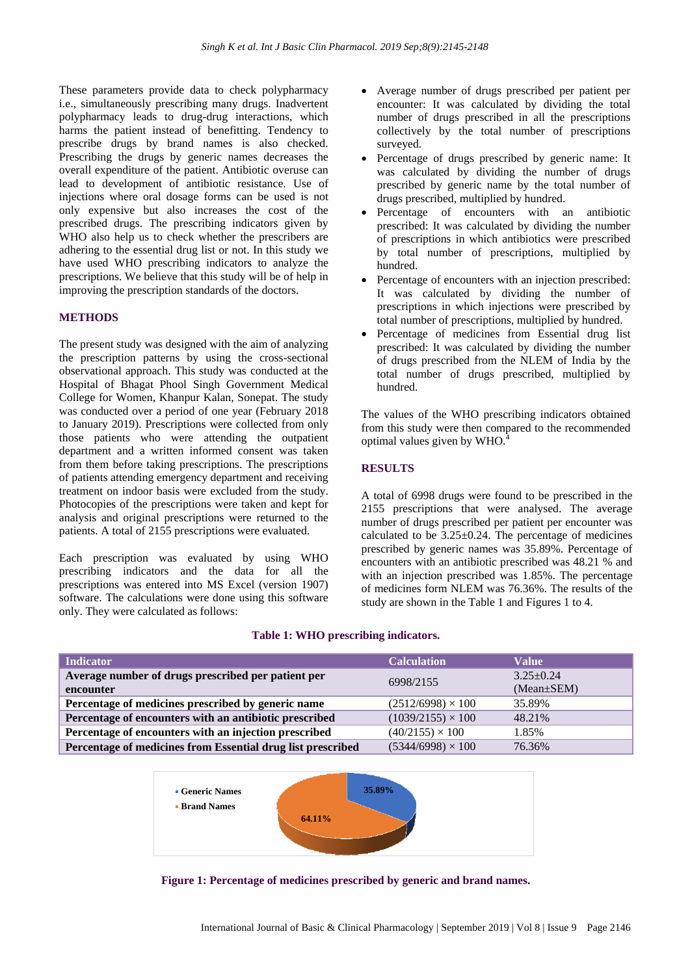These parameters provide data to check polypharmacy i.e., simultaneously prescribing many drugs. Inadvertent polypharmacy leads to drug-drug interactions, which harms the patient instead of benefitting. Tendency to prescribe drugs by brand names is also checked. Prescribing the drugs by generic names decreases the overall expenditure of the patient. Antibiotic overuse can lead to development of antibiotic resistance. Use of injections where oral dosage forms can be used is not only expensive but also increases the cost of the prescribed drugs. The prescribing indicators given by WHO also help us to check whether the prescribers are adhering to the essential drug list or not. In this study we have used WHO prescribing indicators to analyze the prescriptions. We believe that this study will be of help in improving the prescription standards of the doctors.

#### **METHODS**

The present study was designed with the aim of analyzing the prescription patterns by using the cross-sectional observational approach. This study was conducted at the Hospital of Bhagat Phool Singh Government Medical College for Women, Khanpur Kalan, Sonepat. The study was conducted over a period of one year (February 2018 to January 2019). Prescriptions were collected from only those patients who were attending the outpatient department and a written informed consent was taken from them before taking prescriptions. The prescriptions of patients attending emergency department and receiving treatment on indoor basis were excluded from the study. Photocopies of the prescriptions were taken and kept for analysis and original prescriptions were returned to the patients. A total of 2155 prescriptions were evaluated.

Each prescription was evaluated by using WHO prescribing indicators and the data for all the prescriptions was entered into MS Excel (version 1907) software. The calculations were done using this software only. They were calculated as follows:

- Average number of drugs prescribed per patient per encounter: It was calculated by dividing the total number of drugs prescribed in all the prescriptions collectively by the total number of prescriptions surveyed.
- Percentage of drugs prescribed by generic name: It was calculated by dividing the number of drugs prescribed by generic name by the total number of drugs prescribed, multiplied by hundred.
- Percentage of encounters with an antibiotic prescribed: It was calculated by dividing the number of prescriptions in which antibiotics were prescribed by total number of prescriptions, multiplied by hundred.
- Percentage of encounters with an injection prescribed: It was calculated by dividing the number of prescriptions in which injections were prescribed by total number of prescriptions, multiplied by hundred.
- Percentage of medicines from Essential drug list prescribed: It was calculated by dividing the number of drugs prescribed from the NLEM of India by the total number of drugs prescribed, multiplied by hundred.

The values of the WHO prescribing indicators obtained from this study were then compared to the recommended optimal values given by WHO.<sup>4</sup>

#### **RESULTS**

A total of 6998 drugs were found to be prescribed in the 2155 prescriptions that were analysed. The average number of drugs prescribed per patient per encounter was calculated to be  $3.25 \pm 0.24$ . The percentage of medicines prescribed by generic names was 35.89%. Percentage of encounters with an antibiotic prescribed was 48.21 % and with an injection prescribed was 1.85%. The percentage of medicines form NLEM was 76.36%. The results of the study are shown in the Table 1 and Figures 1 to 4.

| <b>Indicator</b>                                            | <b>Calculation</b>       | <b>Value</b>     |
|-------------------------------------------------------------|--------------------------|------------------|
| Average number of drugs prescribed per patient per          | 6998/2155                | $3.25 \pm 0.24$  |
| encounter                                                   |                          | $(Mean \pm SEM)$ |
| Percentage of medicines prescribed by generic name          | $(2512/6998) \times 100$ | 35.89%           |
| Percentage of encounters with an antibiotic prescribed      | $(1039/2155) \times 100$ | 48.21%           |
| Percentage of encounters with an injection prescribed       | $(40/2155) \times 100$   | 1.85%            |
| Percentage of medicines from Essential drug list prescribed | $(5344/6998) \times 100$ | 76.36%           |

#### **Table 1: WHO prescribing indicators.**



**Figure 1: Percentage of medicines prescribed by generic and brand names.**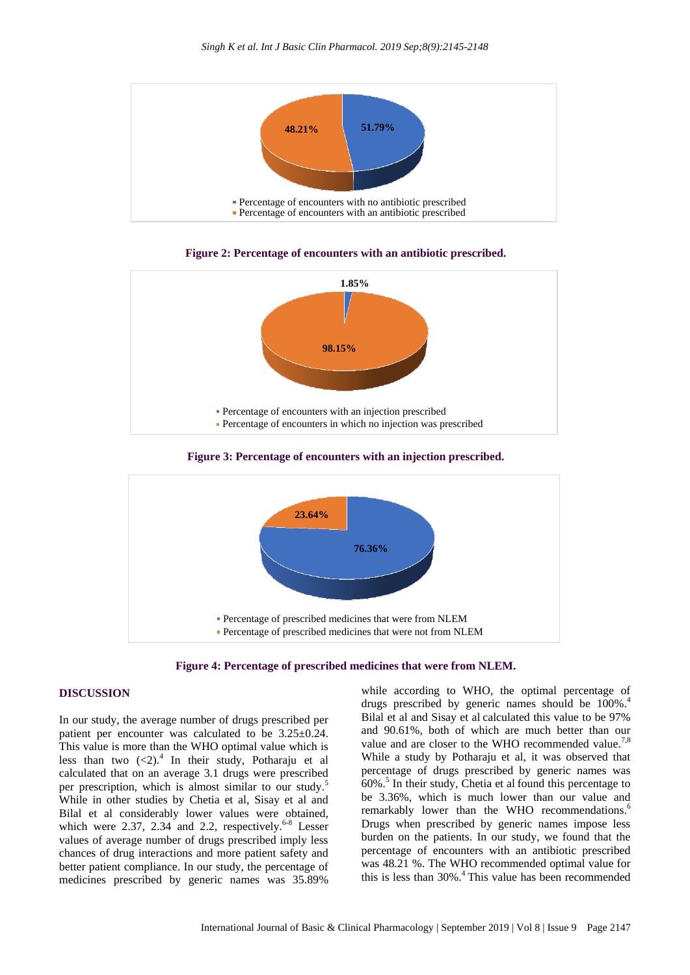





**Figure 3: Percentage of encounters with an injection prescribed.**



**Figure 4: Percentage of prescribed medicines that were from NLEM.**

#### **DISCUSSION**

In our study, the average number of drugs prescribed per patient per encounter was calculated to be 3.25±0.24. This value is more than the WHO optimal value which is less than two  $(<2)$ .<sup>4</sup> In their study, Potharaju et al calculated that on an average 3.1 drugs were prescribed per prescription, which is almost similar to our study.<sup>5</sup> While in other studies by Chetia et al, Sisay et al and Bilal et al considerably lower values were obtained, which were  $2.37$ ,  $2.34$  and  $2.2$ , respectively.<sup>6-8</sup> Lesser values of average number of drugs prescribed imply less chances of drug interactions and more patient safety and better patient compliance. In our study, the percentage of medicines prescribed by generic names was 35.89%

while according to WHO, the optimal percentage of drugs prescribed by generic names should be  $100\%$ .<sup>4</sup> Bilal et al and Sisay et al calculated this value to be 97% and 90.61%, both of which are much better than our value and are closer to the WHO recommended value.<sup>7,8</sup> While a study by Potharaju et al, it was observed that percentage of drugs prescribed by generic names was 60%.<sup>5</sup> In their study, Chetia et al found this percentage to be 3.36%, which is much lower than our value and remarkably lower than the WHO recommendations.<sup>6</sup> Drugs when prescribed by generic names impose less burden on the patients. In our study, we found that the percentage of encounters with an antibiotic prescribed was 48.21 %. The WHO recommended optimal value for this is less than 30%.<sup>4</sup> This value has been recommended